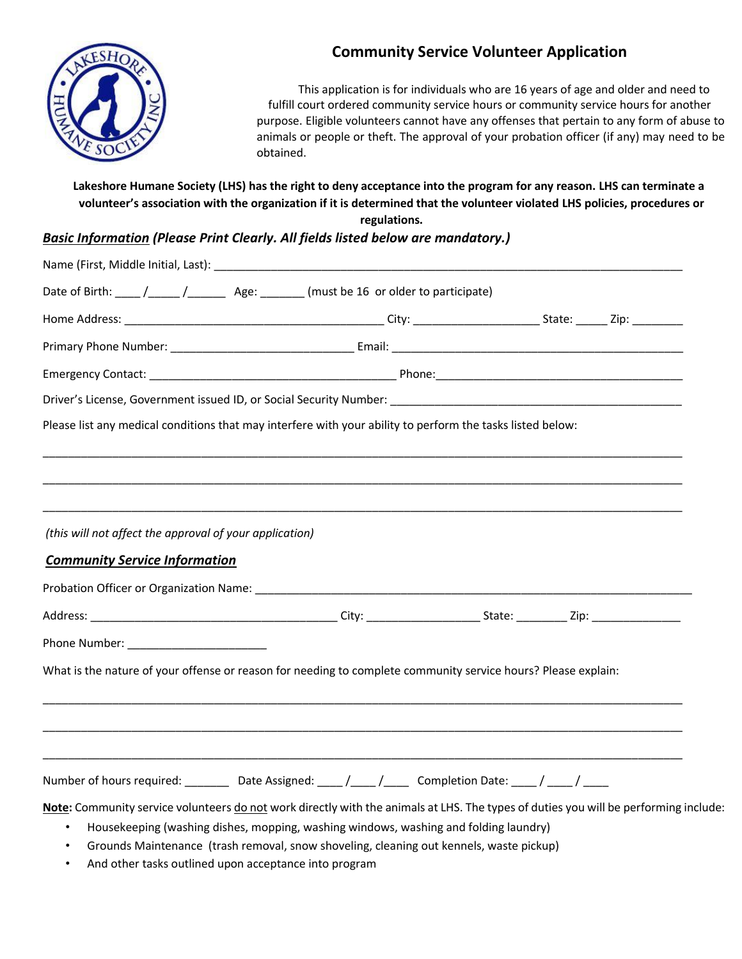

# **Community Service Volunteer Application**

This application is for individuals who are 16 years of age and older and need to fulfill court ordered community service hours or community service hours for another purpose. Eligible volunteers cannot have any offenses that pertain to any form of abuse to animals or people or theft. The approval of your probation officer (if any) may need to be obtained.

### **Lakeshore Humane Society (LHS) has the right to deny acceptance into the program for any reason. LHS can terminate a volunteer's association with the organization if it is determined that the volunteer violated LHS policies, procedures or**

**regulations.**

## *Basic Information (Please Print Clearly. All fields listed below are mandatory.)*

| Date of Birth: ____ /_____ /__________ Age: _______ (must be 16 or older to participate)                                             |                                                                                         |  |  |  |
|--------------------------------------------------------------------------------------------------------------------------------------|-----------------------------------------------------------------------------------------|--|--|--|
|                                                                                                                                      |                                                                                         |  |  |  |
|                                                                                                                                      |                                                                                         |  |  |  |
|                                                                                                                                      |                                                                                         |  |  |  |
| Driver's License, Government issued ID, or Social Security Number: National Communication of the Communication                       |                                                                                         |  |  |  |
| Please list any medical conditions that may interfere with your ability to perform the tasks listed below:                           |                                                                                         |  |  |  |
|                                                                                                                                      |                                                                                         |  |  |  |
|                                                                                                                                      |                                                                                         |  |  |  |
|                                                                                                                                      |                                                                                         |  |  |  |
| (this will not affect the approval of your application)                                                                              |                                                                                         |  |  |  |
| <b>Community Service Information</b>                                                                                                 |                                                                                         |  |  |  |
|                                                                                                                                      |                                                                                         |  |  |  |
|                                                                                                                                      |                                                                                         |  |  |  |
|                                                                                                                                      |                                                                                         |  |  |  |
| What is the nature of your offense or reason for needing to complete community service hours? Please explain:                        |                                                                                         |  |  |  |
|                                                                                                                                      |                                                                                         |  |  |  |
|                                                                                                                                      |                                                                                         |  |  |  |
|                                                                                                                                      |                                                                                         |  |  |  |
| Number of hours required: __________ Date Assigned: ____ /____ /______ Completion Date: ____ / ____ / ____                           |                                                                                         |  |  |  |
| Note: Community service volunteers do not work directly with the animals at LHS. The types of duties you will be performing include: |                                                                                         |  |  |  |
|                                                                                                                                      | Housekeeping (washing dishes, mopping, washing windows, washing and folding laundry)    |  |  |  |
|                                                                                                                                      | Grounds Maintenance (trash removal, snow shoveling, cleaning out kennels, waste pickup) |  |  |  |

• And other tasks outlined upon acceptance into program